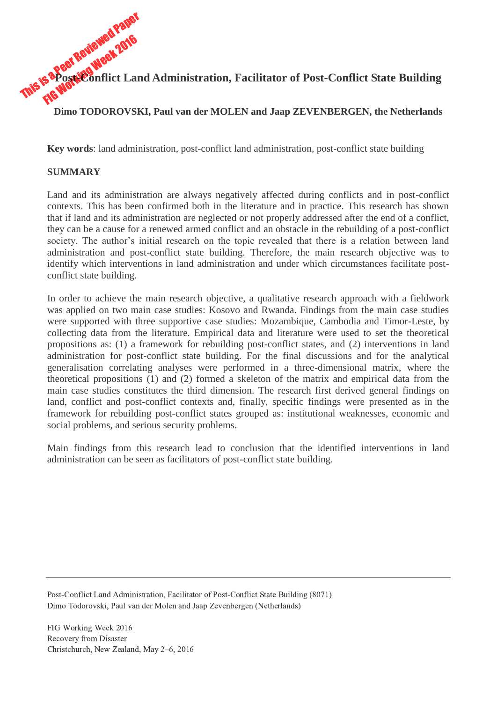This is a Peer Reviewed Paper<br>This is a Post Reviewed 2016 **Post-Conflict Land Administration, Facilitator of Post-Conflict State Building**

**Dimo TODOROVSKI, Paul van der MOLEN and Jaap ZEVENBERGEN, the Netherlands**

**Key words**: land administration, post-conflict land administration, post-conflict state building

## **SUMMARY**

Land and its administration are always negatively affected during conflicts and in post-conflict contexts. This has been confirmed both in the literature and in practice. This research has shown that if land and its administration are neglected or not properly addressed after the end of a conflict, they can be a cause for a renewed armed conflict and an obstacle in the rebuilding of a post-conflict society. The author's initial research on the topic revealed that there is a relation between land administration and post-conflict state building. Therefore, the main research objective was to identify which interventions in land administration and under which circumstances facilitate postconflict state building.

In order to achieve the main research objective, a qualitative research approach with a fieldwork was applied on two main case studies: Kosovo and Rwanda. Findings from the main case studies were supported with three supportive case studies: Mozambique, Cambodia and Timor-Leste, by collecting data from the literature. Empirical data and literature were used to set the theoretical propositions as: (1) a framework for rebuilding post-conflict states, and (2) interventions in land administration for post-conflict state building. For the final discussions and for the analytical generalisation correlating analyses were performed in a three-dimensional matrix, where the theoretical propositions (1) and (2) formed a skeleton of the matrix and empirical data from the main case studies constitutes the third dimension. The research first derived general findings on land, conflict and post-conflict contexts and, finally, specific findings were presented as in the framework for rebuilding post-conflict states grouped as: institutional weaknesses, economic and social problems, and serious security problems.

Main findings from this research lead to conclusion that the identified interventions in land administration can be seen as facilitators of post-conflict state building.

Post-Conflict Land Administration, Facilitator of Post-Conflict State Building (8071) Dimo Todorovski, Paul van der Molen and Jaap Zevenbergen (Netherlands)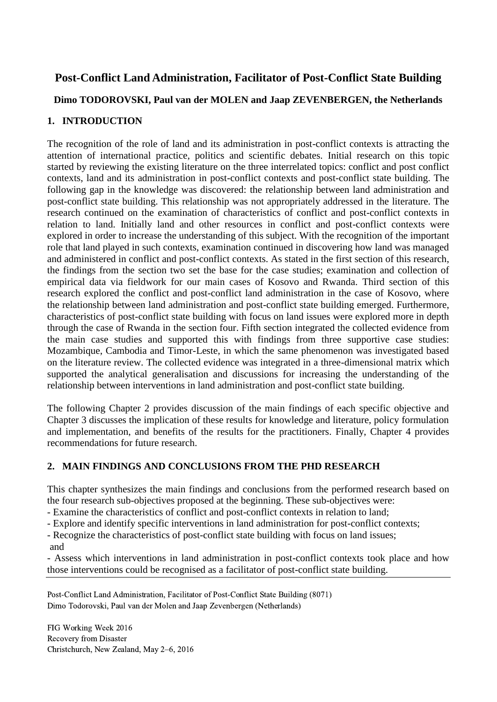# **Post-Conflict Land Administration, Facilitator of Post-Conflict State Building**

## **Dimo TODOROVSKI, Paul van der MOLEN and Jaap ZEVENBERGEN, the Netherlands**

## **1. INTRODUCTION**

The recognition of the role of land and its administration in post-conflict contexts is attracting the attention of international practice, politics and scientific debates. Initial research on this topic started by reviewing the existing literature on the three interrelated topics: conflict and post conflict contexts, land and its administration in post-conflict contexts and post-conflict state building. The following gap in the knowledge was discovered: the relationship between land administration and post-conflict state building. This relationship was not appropriately addressed in the literature. The research continued on the examination of characteristics of conflict and post-conflict contexts in relation to land. Initially land and other resources in conflict and post-conflict contexts were explored in order to increase the understanding of this subject. With the recognition of the important role that land played in such contexts, examination continued in discovering how land was managed and administered in conflict and post-conflict contexts. As stated in the first section of this research, the findings from the section two set the base for the case studies; examination and collection of empirical data via fieldwork for our main cases of Kosovo and Rwanda. Third section of this research explored the conflict and post-conflict land administration in the case of Kosovo, where the relationship between land administration and post-conflict state building emerged. Furthermore, characteristics of post-conflict state building with focus on land issues were explored more in depth through the case of Rwanda in the section four. Fifth section integrated the collected evidence from the main case studies and supported this with findings from three supportive case studies: Mozambique, Cambodia and Timor-Leste, in which the same phenomenon was investigated based on the literature review. The collected evidence was integrated in a three-dimensional matrix which supported the analytical generalisation and discussions for increasing the understanding of the relationship between interventions in land administration and post-conflict state building.

The following Chapter 2 provides discussion of the main findings of each specific objective and Chapter 3 discusses the implication of these results for knowledge and literature, policy formulation and implementation, and benefits of the results for the practitioners. Finally, Chapter 4 provides recommendations for future research.

## **2. MAIN FINDINGS AND CONCLUSIONS FROM THE PHD RESEARCH**

This chapter synthesizes the main findings and conclusions from the performed research based on the four research sub-objectives proposed at the beginning. These sub-objectives were:

- Examine the characteristics of conflict and post-conflict contexts in relation to land;

- Explore and identify specific interventions in land administration for post-conflict contexts;

- Recognize the characteristics of post-conflict state building with focus on land issues;

and

- Assess which interventions in land administration in post-conflict contexts took place and how those interventions could be recognised as a facilitator of post-conflict state building.

Post-Conflict Land Administration, Facilitator of Post-Conflict State Building (8071) Dimo Todorovski, Paul van der Molen and Jaap Zevenbergen (Netherlands)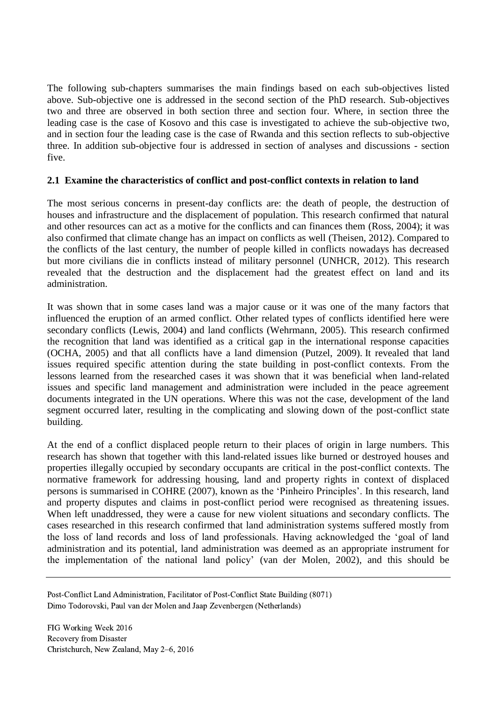The following sub-chapters summarises the main findings based on each sub-objectives listed above. Sub-objective one is addressed in the second section of the PhD research. Sub-objectives two and three are observed in both section three and section four. Where, in section three the leading case is the case of Kosovo and this case is investigated to achieve the sub-objective two, and in section four the leading case is the case of Rwanda and this section reflects to sub-objective three. In addition sub-objective four is addressed in section of analyses and discussions - section five.

#### **2.1 Examine the characteristics of conflict and post-conflict contexts in relation to land**

The most serious concerns in present-day conflicts are: the death of people, the destruction of houses and infrastructure and the displacement of population. This research confirmed that natural and other resources can act as a motive for the conflicts and can finances them (Ross, 2004); it was also confirmed that climate change has an impact on conflicts as well (Theisen, 2012). Compared to the conflicts of the last century, the number of people killed in conflicts nowadays has decreased but more civilians die in conflicts instead of military personnel (UNHCR, 2012). This research revealed that the destruction and the displacement had the greatest effect on land and its administration.

It was shown that in some cases land was a major cause or it was one of the many factors that influenced the eruption of an armed conflict. Other related types of conflicts identified here were secondary conflicts (Lewis, 2004) and land conflicts (Wehrmann, 2005). This research confirmed the recognition that land was identified as a critical gap in the international response capacities (OCHA, 2005) and that all conflicts have a land dimension (Putzel, 2009). It revealed that land issues required specific attention during the state building in post-conflict contexts. From the lessons learned from the researched cases it was shown that it was beneficial when land-related issues and specific land management and administration were included in the peace agreement documents integrated in the UN operations. Where this was not the case, development of the land segment occurred later, resulting in the complicating and slowing down of the post-conflict state building.

At the end of a conflict displaced people return to their places of origin in large numbers. This research has shown that together with this land-related issues like burned or destroyed houses and properties illegally occupied by secondary occupants are critical in the post-conflict contexts. The normative framework for addressing housing, land and property rights in context of displaced persons is summarised in COHRE (2007), known as the 'Pinheiro Principles'. In this research, land and property disputes and claims in post-conflict period were recognised as threatening issues. When left unaddressed, they were a cause for new violent situations and secondary conflicts. The cases researched in this research confirmed that land administration systems suffered mostly from the loss of land records and loss of land professionals. Having acknowledged the 'goal of land administration and its potential, land administration was deemed as an appropriate instrument for the implementation of the national land policy' (van der Molen, 2002), and this should be

Post-Conflict Land Administration, Facilitator of Post-Conflict State Building (8071) Dimo Todorovski, Paul van der Molen and Jaap Zevenbergen (Netherlands)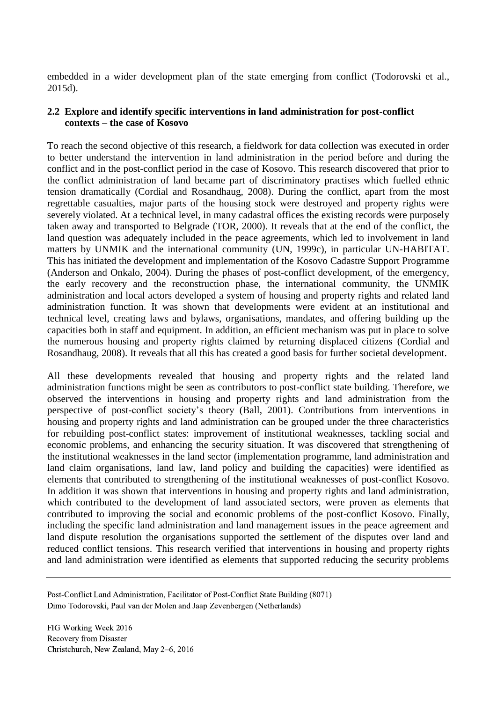embedded in a wider development plan of the state emerging from conflict (Todorovski et al., 2015d).

### **2.2 Explore and identify specific interventions in land administration for post-conflict contexts – the case of Kosovo**

To reach the second objective of this research, a fieldwork for data collection was executed in order to better understand the intervention in land administration in the period before and during the conflict and in the post-conflict period in the case of Kosovo. This research discovered that prior to the conflict administration of land became part of discriminatory practises which fuelled ethnic tension dramatically (Cordial and Rosandhaug, 2008). During the conflict, apart from the most regrettable casualties, major parts of the housing stock were destroyed and property rights were severely violated. At a technical level, in many cadastral offices the existing records were purposely taken away and transported to Belgrade (TOR, 2000). It reveals that at the end of the conflict, the land question was adequately included in the peace agreements, which led to involvement in land matters by UNMIK and the international community (UN, 1999c), in particular UN-HABITAT. This has initiated the development and implementation of the Kosovo Cadastre Support Programme (Anderson and Onkalo, 2004). During the phases of post-conflict development, of the emergency, the early recovery and the reconstruction phase, the international community, the UNMIK administration and local actors developed a system of housing and property rights and related land administration function. It was shown that developments were evident at an institutional and technical level, creating laws and bylaws, organisations, mandates, and offering building up the capacities both in staff and equipment. In addition, an efficient mechanism was put in place to solve the numerous housing and property rights claimed by returning displaced citizens (Cordial and Rosandhaug, 2008). It reveals that all this has created a good basis for further societal development.

All these developments revealed that housing and property rights and the related land administration functions might be seen as contributors to post-conflict state building. Therefore, we observed the interventions in housing and property rights and land administration from the perspective of post-conflict society's theory (Ball, 2001). Contributions from interventions in housing and property rights and land administration can be grouped under the three characteristics for rebuilding post-conflict states: improvement of institutional weaknesses, tackling social and economic problems, and enhancing the security situation. It was discovered that strengthening of the institutional weaknesses in the land sector (implementation programme, land administration and land claim organisations, land law, land policy and building the capacities) were identified as elements that contributed to strengthening of the institutional weaknesses of post-conflict Kosovo. In addition it was shown that interventions in housing and property rights and land administration, which contributed to the development of land associated sectors, were proven as elements that contributed to improving the social and economic problems of the post-conflict Kosovo. Finally, including the specific land administration and land management issues in the peace agreement and land dispute resolution the organisations supported the settlement of the disputes over land and reduced conflict tensions. This research verified that interventions in housing and property rights and land administration were identified as elements that supported reducing the security problems

Post-Conflict Land Administration, Facilitator of Post-Conflict State Building (8071) Dimo Todorovski, Paul van der Molen and Jaap Zevenbergen (Netherlands)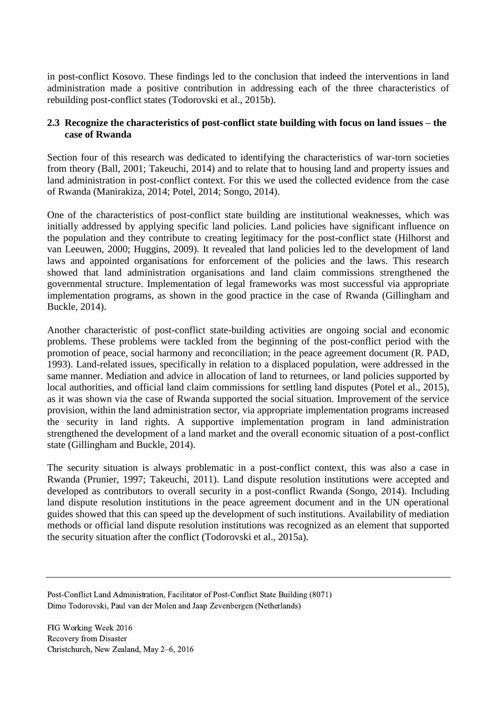in post-conflict Kosovo. These findings led to the conclusion that indeed the interventions in land administration made a positive contribution in addressing each of the three characteristics of rebuilding post-conflict states (Todorovski et al., 2015b).

#### **2.3 Recognize the characteristics of post-conflict state building with focus on land issues – the case of Rwanda**

Section four of this research was dedicated to identifying the characteristics of war-torn societies from theory (Ball, 2001; Takeuchi, 2014) and to relate that to housing land and property issues and land administration in post-conflict context. For this we used the collected evidence from the case of Rwanda (Manirakiza, 2014; Potel, 2014; Songo, 2014).

One of the characteristics of post-conflict state building are institutional weaknesses, which was initially addressed by applying specific land policies. Land policies have significant influence on the population and they contribute to creating legitimacy for the post-conflict state (Hilhorst and van Leeuwen, 2000; Huggins, 2009). It revealed that land policies led to the development of land laws and appointed organisations for enforcement of the policies and the laws. This research showed that land administration organisations and land claim commissions strengthened the governmental structure. Implementation of legal frameworks was most successful via appropriate implementation programs, as shown in the good practice in the case of Rwanda (Gillingham and Buckle, 2014).

Another characteristic of post-conflict state-building activities are ongoing social and economic problems. These problems were tackled from the beginning of the post-conflict period with the promotion of peace, social harmony and reconciliation; in the peace agreement document (R. PAD, 1993). Land-related issues, specifically in relation to a displaced population, were addressed in the same manner. Mediation and advice in allocation of land to returnees, or land policies supported by local authorities, and official land claim commissions for settling land disputes (Potel et al., 2015), as it was shown via the case of Rwanda supported the social situation. Improvement of the service provision, within the land administration sector, via appropriate implementation programs increased the security in land rights. A supportive implementation program in land administration strengthened the development of a land market and the overall economic situation of a post-conflict state (Gillingham and Buckle, 2014).

The security situation is always problematic in a post-conflict context, this was also a case in Rwanda (Prunier, 1997; Takeuchi, 2011). Land dispute resolution institutions were accepted and developed as contributors to overall security in a post-conflict Rwanda (Songo, 2014). Including land dispute resolution institutions in the peace agreement document and in the UN operational guides showed that this can speed up the development of such institutions. Availability of mediation methods or official land dispute resolution institutions was recognized as an element that supported the security situation after the conflict (Todorovski et al., 2015a).

Post-Conflict Land Administration, Facilitator of Post-Conflict State Building (8071) Dimo Todorovski, Paul van der Molen and Jaap Zevenbergen (Netherlands)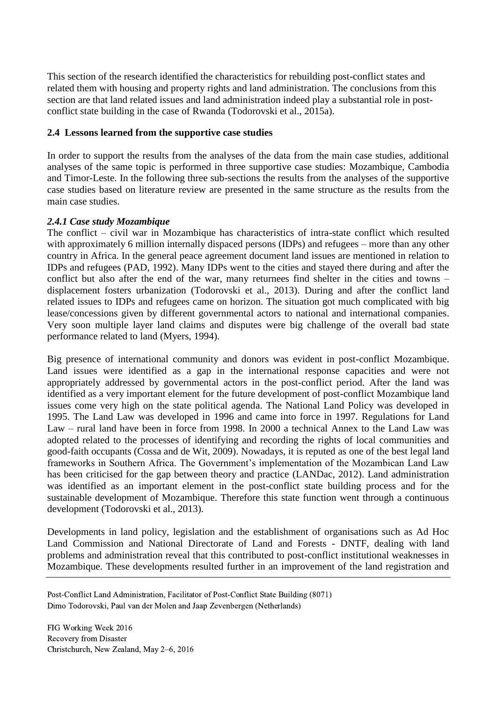This section of the research identified the characteristics for rebuilding post-conflict states and related them with housing and property rights and land administration. The conclusions from this section are that land related issues and land administration indeed play a substantial role in postconflict state building in the case of Rwanda (Todorovski et al., 2015a).

### **2.4 Lessons learned from the supportive case studies**

In order to support the results from the analyses of the data from the main case studies, additional analyses of the same topic is performed in three supportive case studies: Mozambique, Cambodia and Timor-Leste. In the following three sub-sections the results from the analyses of the supportive case studies based on literature review are presented in the same structure as the results from the main case studies.

#### *2.4.1 Case study Mozambique*

The conflict – civil war in Mozambique has characteristics of intra-state conflict which resulted with approximately 6 million internally dispaced persons (IDPs) and refugees – more than any other country in Africa. In the general peace agreement document land issues are mentioned in relation to IDPs and refugees (PAD, 1992). Many IDPs went to the cities and stayed there during and after the conflict but also after the end of the war, many returnees find shelter in the cities and towns – displacement fosters urbanization (Todorovski et al., 2013). During and after the conflict land related issues to IDPs and refugees came on horizon. The situation got much complicated with big lease/concessions given by different governmental actors to national and international companies. Very soon multiple layer land claims and disputes were big challenge of the overall bad state performance related to land (Myers, 1994).

Big presence of international community and donors was evident in post-conflict Mozambique. Land issues were identified as a gap in the international response capacities and were not appropriately addressed by governmental actors in the post-conflict period. After the land was identified as a very important element for the future development of post-conflict Mozambique land issues come very high on the state political agenda. The National Land Policy was developed in 1995. The Land Law was developed in 1996 and came into force in 1997. Regulations for Land Law – rural land have been in force from 1998. In 2000 a technical Annex to the Land Law was adopted related to the processes of identifying and recording the rights of local communities and good-faith occupants (Cossa and de Wit, 2009). Nowadays, it is reputed as one of the best legal land frameworks in Southern Africa. The Government's implementation of the Mozambican Land Law has been criticised for the gap between theory and practice (LANDac, 2012). Land administration was identified as an important element in the post-conflict state building process and for the sustainable development of Mozambique. Therefore this state function went through a continuous development (Todorovski et al., 2013).

Developments in land policy, legislation and the establishment of organisations such as Ad Hoc Land Commission and National Directorate of Land and Forests - DNTF, dealing with land problems and administration reveal that this contributed to post-conflict institutional weaknesses in Mozambique. These developments resulted further in an improvement of the land registration and

Post-Conflict Land Administration, Facilitator of Post-Conflict State Building (8071) Dimo Todorovski, Paul van der Molen and Jaap Zevenbergen (Netherlands)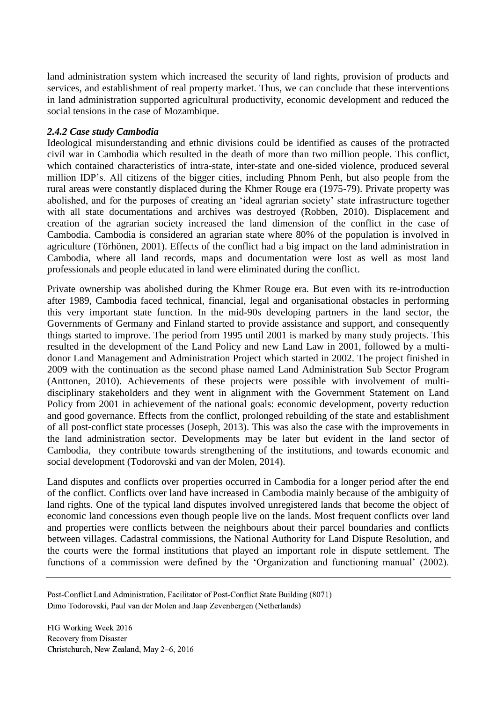land administration system which increased the security of land rights, provision of products and services, and establishment of real property market. Thus, we can conclude that these interventions in land administration supported agricultural productivity, economic development and reduced the social tensions in the case of Mozambique.

## *2.4.2 Case study Cambodia*

Ideological misunderstanding and ethnic divisions could be identified as causes of the protracted civil war in Cambodia which resulted in the death of more than two million people. This conflict, which contained characteristics of intra-state, inter-state and one-sided violence, produced several million IDP's. All citizens of the bigger cities, including Phnom Penh, but also people from the rural areas were constantly displaced during the Khmer Rouge era (1975-79). Private property was abolished, and for the purposes of creating an 'ideal agrarian society' state infrastructure together with all state documentations and archives was destroyed (Robben, 2010). Displacement and creation of the agrarian society increased the land dimension of the conflict in the case of Cambodia. Cambodia is considered an agrarian state where 80% of the population is involved in agriculture (Törhönen, 2001). Effects of the conflict had a big impact on the land administration in Cambodia, where all land records, maps and documentation were lost as well as most land professionals and people educated in land were eliminated during the conflict.

Private ownership was abolished during the Khmer Rouge era. But even with its re-introduction after 1989, Cambodia faced technical, financial, legal and organisational obstacles in performing this very important state function. In the mid-90s developing partners in the land sector, the Governments of Germany and Finland started to provide assistance and support, and consequently things started to improve. The period from 1995 until 2001 is marked by many study projects. This resulted in the development of the Land Policy and new Land Law in 2001, followed by a multidonor Land Management and Administration Project which started in 2002. The project finished in 2009 with the continuation as the second phase named Land Administration Sub Sector Program (Anttonen, 2010). Achievements of these projects were possible with involvement of multidisciplinary stakeholders and they went in alignment with the Government Statement on Land Policy from 2001 in achievement of the national goals: economic development, poverty reduction and good governance. Effects from the conflict, prolonged rebuilding of the state and establishment of all post-conflict state processes (Joseph, 2013). This was also the case with the improvements in the land administration sector. Developments may be later but evident in the land sector of Cambodia, they contribute towards strengthening of the institutions, and towards economic and social development (Todorovski and van der Molen, 2014).

Land disputes and conflicts over properties occurred in Cambodia for a longer period after the end of the conflict. Conflicts over land have increased in Cambodia mainly because of the ambiguity of land rights. One of the typical land disputes involved unregistered lands that become the object of economic land concessions even though people live on the lands. Most frequent conflicts over land and properties were conflicts between the neighbours about their parcel boundaries and conflicts between villages. Cadastral commissions, the National Authority for Land Dispute Resolution, and the courts were the formal institutions that played an important role in dispute settlement. The functions of a commission were defined by the 'Organization and functioning manual' (2002).

Post-Conflict Land Administration, Facilitator of Post-Conflict State Building (8071) Dimo Todorovski, Paul van der Molen and Jaap Zevenbergen (Netherlands)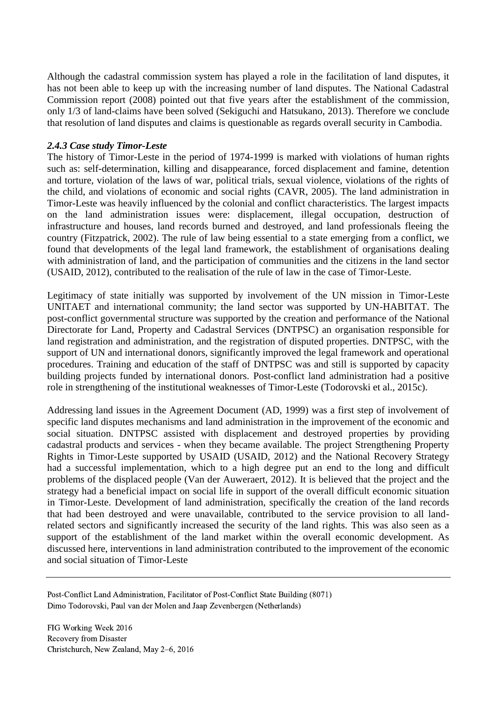Although the cadastral commission system has played a role in the facilitation of land disputes, it has not been able to keep up with the increasing number of land disputes. The National Cadastral Commission report (2008) pointed out that five years after the establishment of the commission, only 1/3 of land-claims have been solved (Sekiguchi and Hatsukano, 2013). Therefore we conclude that resolution of land disputes and claims is questionable as regards overall security in Cambodia.

#### *2.4.3 Case study Timor-Leste*

The history of Timor-Leste in the period of 1974-1999 is marked with violations of human rights such as: self-determination, killing and disappearance, forced displacement and famine, detention and torture, violation of the laws of war, political trials, sexual violence, violations of the rights of the child, and violations of economic and social rights (CAVR, 2005). The land administration in Timor-Leste was heavily influenced by the colonial and conflict characteristics. The largest impacts on the land administration issues were: displacement, illegal occupation, destruction of infrastructure and houses, land records burned and destroyed, and land professionals fleeing the country (Fitzpatrick, 2002). The rule of law being essential to a state emerging from a conflict, we found that developments of the legal land framework, the establishment of organisations dealing with administration of land, and the participation of communities and the citizens in the land sector (USAID, 2012), contributed to the realisation of the rule of law in the case of Timor-Leste.

Legitimacy of state initially was supported by involvement of the UN mission in Timor-Leste UNITAET and international community; the land sector was supported by UN-HABITAT. The post-conflict governmental structure was supported by the creation and performance of the National Directorate for Land, Property and Cadastral Services (DNTPSC) an organisation responsible for land registration and administration, and the registration of disputed properties. DNTPSC, with the support of UN and international donors, significantly improved the legal framework and operational procedures. Training and education of the staff of DNTPSC was and still is supported by capacity building projects funded by international donors. Post-conflict land administration had a positive role in strengthening of the institutional weaknesses of Timor-Leste (Todorovski et al., 2015c).

Addressing land issues in the Agreement Document (AD, 1999) was a first step of involvement of specific land disputes mechanisms and land administration in the improvement of the economic and social situation. DNTPSC assisted with displacement and destroyed properties by providing cadastral products and services - when they became available. The project Strengthening Property Rights in Timor-Leste supported by USAID (USAID, 2012) and the National Recovery Strategy had a successful implementation, which to a high degree put an end to the long and difficult problems of the displaced people (Van der Auweraert, 2012). It is believed that the project and the strategy had a beneficial impact on social life in support of the overall difficult economic situation in Timor-Leste. Development of land administration, specifically the creation of the land records that had been destroyed and were unavailable, contributed to the service provision to all landrelated sectors and significantly increased the security of the land rights. This was also seen as a support of the establishment of the land market within the overall economic development. As discussed here, interventions in land administration contributed to the improvement of the economic and social situation of Timor-Leste

Post-Conflict Land Administration, Facilitator of Post-Conflict State Building (8071) Dimo Todorovski, Paul van der Molen and Jaap Zevenbergen (Netherlands)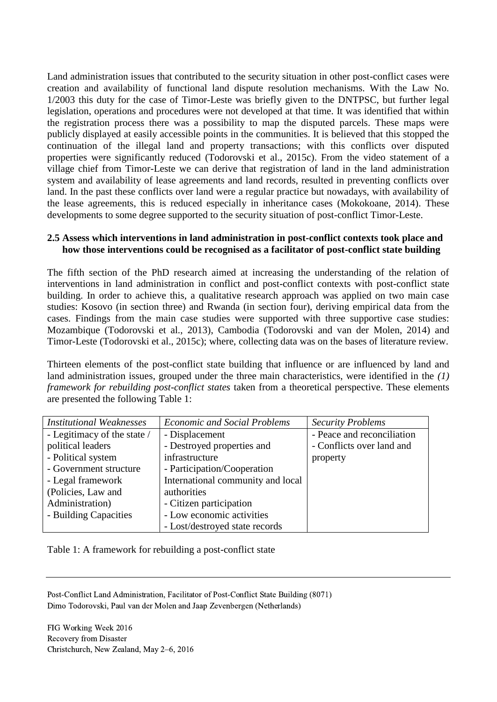Land administration issues that contributed to the security situation in other post-conflict cases were creation and availability of functional land dispute resolution mechanisms. With the Law No. 1/2003 this duty for the case of Timor-Leste was briefly given to the DNTPSC, but further legal legislation, operations and procedures were not developed at that time. It was identified that within the registration process there was a possibility to map the disputed parcels. These maps were publicly displayed at easily accessible points in the communities. It is believed that this stopped the continuation of the illegal land and property transactions; with this conflicts over disputed properties were significantly reduced (Todorovski et al., 2015c). From the video statement of a village chief from Timor-Leste we can derive that registration of land in the land administration system and availability of lease agreements and land records, resulted in preventing conflicts over land. In the past these conflicts over land were a regular practice but nowadays, with availability of the lease agreements, this is reduced especially in inheritance cases (Mokokoane, 2014). These developments to some degree supported to the security situation of post-conflict Timor-Leste.

#### **2.5 Assess which interventions in land administration in post-conflict contexts took place and how those interventions could be recognised as a facilitator of post-conflict state building**

The fifth section of the PhD research aimed at increasing the understanding of the relation of interventions in land administration in conflict and post-conflict contexts with post-conflict state building. In order to achieve this, a qualitative research approach was applied on two main case studies: Kosovo (in section three) and Rwanda (in section four), deriving empirical data from the cases. Findings from the main case studies were supported with three supportive case studies: Mozambique (Todorovski et al., 2013), Cambodia (Todorovski and van der Molen, 2014) and Timor-Leste (Todorovski et al., 2015c); where, collecting data was on the bases of literature review.

Thirteen elements of the post-conflict state building that influence or are influenced by land and land administration issues, grouped under the three main characteristics, were identified in the *(1) framework for rebuilding post-conflict states* taken from a theoretical perspective. These elements are presented the following Table 1:

| <b>Institutional Weaknesses</b> | <b>Economic and Social Problems</b> | <b>Security Problems</b>   |
|---------------------------------|-------------------------------------|----------------------------|
| - Legitimacy of the state /     | - Displacement                      | - Peace and reconciliation |
| political leaders               | - Destroyed properties and          | - Conflicts over land and  |
| - Political system              | infrastructure                      | property                   |
| - Government structure          | - Participation/Cooperation         |                            |
| - Legal framework               | International community and local   |                            |
| (Policies, Law and              | authorities                         |                            |
| Administration)                 | - Citizen participation             |                            |
| - Building Capacities           | - Low economic activities           |                            |
|                                 | - Lost/destroyed state records      |                            |

Table 1: A framework for rebuilding a post-conflict state

Post-Conflict Land Administration, Facilitator of Post-Conflict State Building (8071) Dimo Todorovski, Paul van der Molen and Jaap Zevenbergen (Netherlands)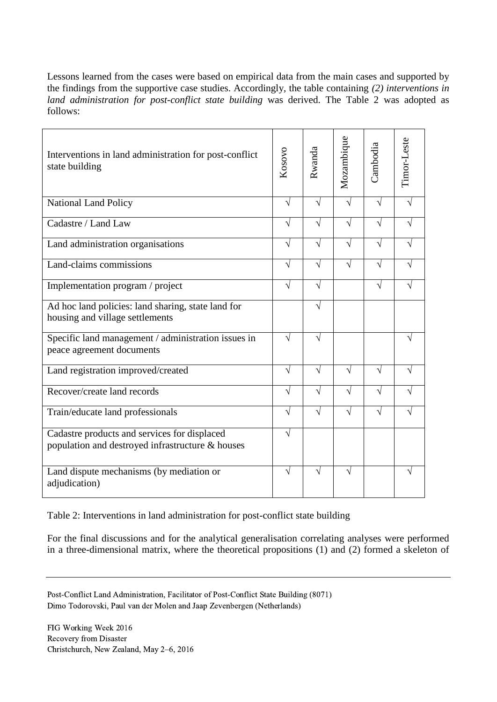Lessons learned from the cases were based on empirical data from the main cases and supported by the findings from the supportive case studies. Accordingly, the table containing *(2) interventions in land administration for post-conflict state building* was derived. The Table 2 was adopted as follows:

| Interventions in land administration for post-conflict<br>state building                         | Kosovo    | Rwanda     | Mozambique | Cambodia   | Timor-Leste |
|--------------------------------------------------------------------------------------------------|-----------|------------|------------|------------|-------------|
| <b>National Land Policy</b>                                                                      | $\sqrt{}$ | V          | V          | $\sqrt{ }$ |             |
| Cadastre / Land Law                                                                              | V         | $\sqrt{}$  | $\sqrt{}$  | $\sqrt{}$  |             |
| Land administration organisations                                                                | $\sqrt{}$ | $\sqrt{ }$ | $\sqrt{}$  | $\sqrt{}$  | N           |
| Land-claims commissions                                                                          | $\sqrt{}$ | $\sqrt{ }$ | $\sqrt{}$  | $\sqrt{}$  | N           |
| Implementation program / project                                                                 | $\sqrt{}$ | $\sqrt{}$  |            | $\sqrt{}$  |             |
| Ad hoc land policies: land sharing, state land for<br>housing and village settlements            |           | V          |            |            |             |
| Specific land management / administration issues in<br>peace agreement documents                 | V         | $\sqrt{ }$ |            |            |             |
| Land registration improved/created                                                               | $\sqrt{}$ | V          | V          | $\sqrt{}$  | J           |
| Recover/create land records                                                                      | $\sqrt{}$ | $\sqrt{}$  | $\sqrt{}$  | $\sqrt{}$  |             |
| Train/educate land professionals                                                                 | $\sqrt{}$ | $\sqrt{}$  | V          | $\sqrt{}$  |             |
| Cadastre products and services for displaced<br>population and destroyed infrastructure & houses |           |            |            |            |             |
| Land dispute mechanisms (by mediation or<br>adjudication)                                        | V         | V          | V          |            | N           |

Table 2: Interventions in land administration for post-conflict state building

For the final discussions and for the analytical generalisation correlating analyses were performed in a three-dimensional matrix, where the theoretical propositions (1) and (2) formed a skeleton of

Post-Conflict Land Administration, Facilitator of Post-Conflict State Building (8071) Dimo Todorovski, Paul van der Molen and Jaap Zevenbergen (Netherlands)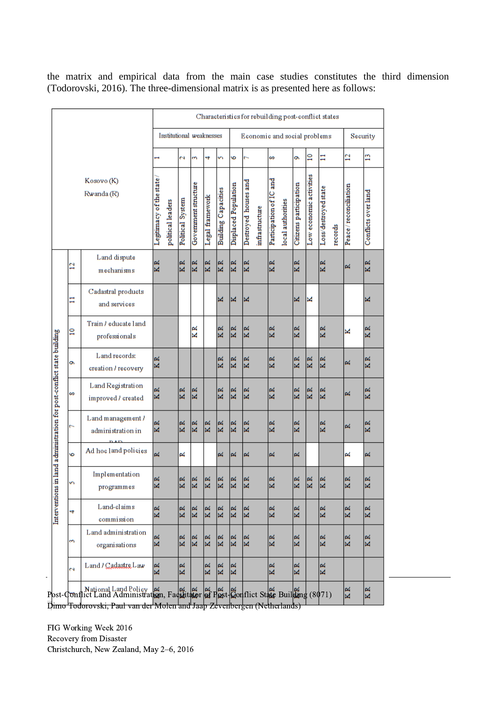the matrix and empirical data from the main case studies constitutes the third dimension (Todorovski, 2016). The three-dimensional matrix is as presented here as follows:

|                                                                        |                          |                                                                                       | Characteristics for rebuilding post-conflict states |                          |                  |                           |                 |                            |                                      |                           |                |                         |                   |                        |                            |                                                 |         |                      |                     |  |
|------------------------------------------------------------------------|--------------------------|---------------------------------------------------------------------------------------|-----------------------------------------------------|--------------------------|------------------|---------------------------|-----------------|----------------------------|--------------------------------------|---------------------------|----------------|-------------------------|-------------------|------------------------|----------------------------|-------------------------------------------------|---------|----------------------|---------------------|--|
|                                                                        |                          |                                                                                       |                                                     | Institutional weaknesses |                  |                           |                 |                            | Economic and social problems         |                           |                |                         |                   |                        |                            |                                                 |         | Security             |                     |  |
|                                                                        | Kosovo (K)<br>Rwanda (R) |                                                                                       |                                                     |                          | Ñ                | m                         | 4               | S                          | 6                                    |                           |                | 8                       |                   | ō                      | $\mathbf{r}$               | Ξ                                               |         | 2                    | n                   |  |
|                                                                        |                          |                                                                                       | Legitmacy of the state                              | political leaders        | Political System | Government structure      | Legal framework | <b>Building Capacities</b> | Displaced Population                 | Destroyed houses and      | infrastructure | Participation of IC and | local authorities | Citizens participation | economic activities<br>Low | Loss/destroyed state                            | records | Peace/reconciliation | Conflicts over land |  |
|                                                                        | $\overline{2}$           | Land dispute<br>mechanisms                                                            | KR                                                  |                          | 网<br>×           | KR                        | ø<br>⊠          | KR                         | $\overline{\mathbf{K}}$              | KR                        |                | KR                      |                   | $\overline{K}R$        |                            | $\overline{\mathbb{K}}$ $\overline{\mathbb{K}}$ |         | ≃                    | KR                  |  |
|                                                                        | Ξ                        | Cadastral products<br>and services                                                    |                                                     |                          |                  |                           |                 | M                          | M                                    | M                         |                |                         |                   | ×                      | ⊠                          |                                                 |         |                      | ≍                   |  |
|                                                                        | $\frac{1}{2}$            | Train / educate land<br>professionals                                                 |                                                     |                          |                  | ≃<br>K                    |                 | KR                         | $\overline{\mathbb{R}}$              | KR                        |                | KR                      |                   | $\overline{K}R$        |                            | $\overline{\mathbb{k}}$                         |         | ⊻                    | KR                  |  |
|                                                                        | Ö                        | Land records:<br>creation / recovery                                                  | ø<br>×                                              |                          |                  |                           |                 | KR                         | $\overline{\mathbb{R}}$              | $\overline{\mathbf{K}}$ R |                | KR                      |                   | KR                     | KR                         | $\overline{\mathbf{K}}$ $\mathbf{R}$            |         | ∝                    | KR                  |  |
|                                                                        | œ                        | Land Registration<br>improved / created                                               | ≃<br>M                                              |                          | 罓<br>⊠           | KR                        |                 | KR                         | $\overline{\mathbf{K}}$ $\mathbf{R}$ | KR                        |                | KR                      |                   | KR                     | KR                         | $\overline{\mathbf{K}}$ $\mathbf{R}$            |         | ∝                    | KR                  |  |
|                                                                        | ∼                        | Land management /<br>administration in                                                | ø<br>×                                              |                          | 网<br>¥           | KR                        | KR              | KR                         | $\overline{\mathbb{R}}$              | KR                        |                | KR                      |                   | KR                     |                            | $\overline{\mathbb{K}}$ $\overline{\mathbb{K}}$ |         | ≃                    | KR                  |  |
|                                                                        | G                        | Ad hoc land policies                                                                  | $\approx$                                           |                          | ≃                |                           |                 | 혀                          | 罓                                    | ×                         |                | ≃                       |                   | ᆋ                      |                            |                                                 |         | ≃                    | ×                   |  |
| Interventions in land a dministration for post-conflict state building | n                        | Implementation<br>programmes                                                          | ہے<br>M                                             |                          | ᆇ<br>×           | œ<br>M                    | ᆇ<br>⊠          | 혀<br>M                     | ≃<br>M                               | M                         |                | ×                       |                   | ᆇ<br>×                 | ≃<br>M                     | M                                               |         | e.<br>⊠              | M                   |  |
|                                                                        | 4                        | Land-claims<br>commission                                                             | ø<br>R                                              |                          | KR               | $\overline{\mathbf{K}}$ R | KR              | $\overline{\mathbf{K}}$ R  | $\overline{\mathbf{K}}$ R            | KR                        |                | KR                      |                   | KR                     |                            | $\overline{\mathbb{K}}$                         |         | ≃<br>R               | K R                 |  |
|                                                                        | m                        | Land administration<br>organisations                                                  | $\overline{\mathbf{K}}$ $\mathbf{R}$                |                          | ≃<br>M           | $\overline{\mathbf{K}}$ R | 网<br>Ñ          | 적<br>M                     | $\approx$<br>M                       | KR                        |                | KR                      |                   | ≃<br>☑                 |                            | r<br>M                                          |         | ≃<br>M               | 网<br>¥              |  |
| $\blacksquare$                                                         | $\mathbf{\tilde{c}}$     | Land / Cadastre Law                                                                   | R<br>×                                              |                          | ≃<br>M           |                           | 网<br>M          | 网<br>M                     | 网<br>M                               |                           |                | ≃<br>M                  |                   | 网<br>M                 |                            | ≃<br>M                                          |         |                      |                     |  |
|                                                                        |                          | Post-Conflict Land Administration, Facilitator of Post-Conflict State Building (8071) |                                                     |                          |                  |                           |                 |                            |                                      |                           |                |                         |                   |                        |                            |                                                 |         | KR                   | KR                  |  |

Dimo Todorovski, Paul van der Molen and Jaap Zevenbergen (Netherlands)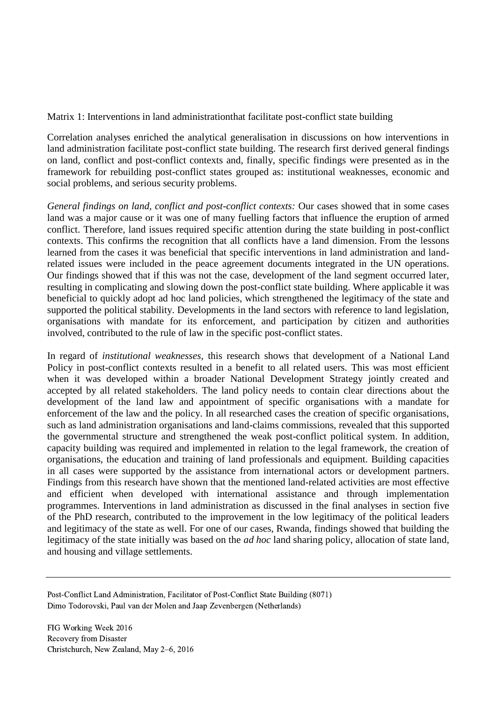Matrix 1: Interventions in land administrationthat facilitate post-conflict state building

Correlation analyses enriched the analytical generalisation in discussions on how interventions in land administration facilitate post-conflict state building. The research first derived general findings on land, conflict and post-conflict contexts and, finally, specific findings were presented as in the framework for rebuilding post-conflict states grouped as: institutional weaknesses, economic and social problems, and serious security problems.

*General findings on land, conflict and post-conflict contexts:* Our cases showed that in some cases land was a major cause or it was one of many fuelling factors that influence the eruption of armed conflict. Therefore, land issues required specific attention during the state building in post-conflict contexts. This confirms the recognition that all conflicts have a land dimension. From the lessons learned from the cases it was beneficial that specific interventions in land administration and landrelated issues were included in the peace agreement documents integrated in the UN operations. Our findings showed that if this was not the case, development of the land segment occurred later, resulting in complicating and slowing down the post-conflict state building. Where applicable it was beneficial to quickly adopt ad hoc land policies, which strengthened the legitimacy of the state and supported the political stability. Developments in the land sectors with reference to land legislation, organisations with mandate for its enforcement, and participation by citizen and authorities involved, contributed to the rule of law in the specific post-conflict states.

In regard of *institutional weaknesses,* this research shows that development of a National Land Policy in post-conflict contexts resulted in a benefit to all related users. This was most efficient when it was developed within a broader National Development Strategy jointly created and accepted by all related stakeholders. The land policy needs to contain clear directions about the development of the land law and appointment of specific organisations with a mandate for enforcement of the law and the policy. In all researched cases the creation of specific organisations, such as land administration organisations and land-claims commissions, revealed that this supported the governmental structure and strengthened the weak post-conflict political system. In addition, capacity building was required and implemented in relation to the legal framework, the creation of organisations, the education and training of land professionals and equipment. Building capacities in all cases were supported by the assistance from international actors or development partners. Findings from this research have shown that the mentioned land-related activities are most effective and efficient when developed with international assistance and through implementation programmes. Interventions in land administration as discussed in the final analyses in section five of the PhD research, contributed to the improvement in the low legitimacy of the political leaders and legitimacy of the state as well. For one of our cases, Rwanda, findings showed that building the legitimacy of the state initially was based on the *ad hoc* land sharing policy, allocation of state land, and housing and village settlements.

Post-Conflict Land Administration, Facilitator of Post-Conflict State Building (8071) Dimo Todorovski, Paul van der Molen and Jaap Zevenbergen (Netherlands)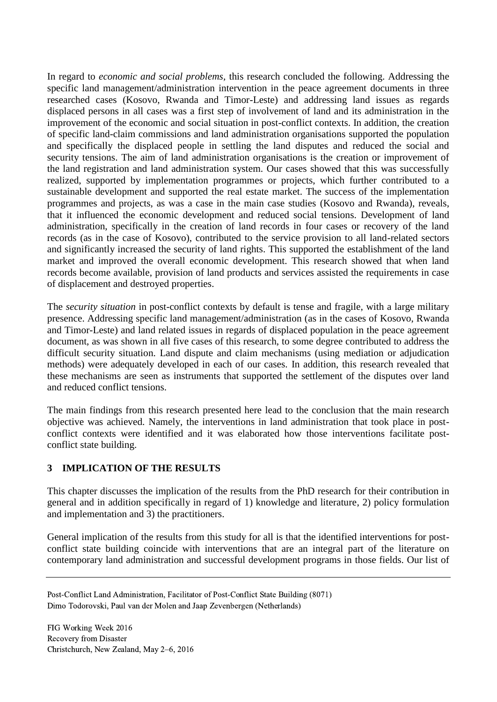In regard to *economic and social problems,* this research concluded the following. Addressing the specific land management/administration intervention in the peace agreement documents in three researched cases (Kosovo, Rwanda and Timor-Leste) and addressing land issues as regards displaced persons in all cases was a first step of involvement of land and its administration in the improvement of the economic and social situation in post-conflict contexts. In addition, the creation of specific land-claim commissions and land administration organisations supported the population and specifically the displaced people in settling the land disputes and reduced the social and security tensions. The aim of land administration organisations is the creation or improvement of the land registration and land administration system. Our cases showed that this was successfully realized, supported by implementation programmes or projects, which further contributed to a sustainable development and supported the real estate market. The success of the implementation programmes and projects, as was a case in the main case studies (Kosovo and Rwanda), reveals, that it influenced the economic development and reduced social tensions. Development of land administration, specifically in the creation of land records in four cases or recovery of the land records (as in the case of Kosovo), contributed to the service provision to all land-related sectors and significantly increased the security of land rights. This supported the establishment of the land market and improved the overall economic development. This research showed that when land records become available, provision of land products and services assisted the requirements in case of displacement and destroyed properties.

The *security situation* in post-conflict contexts by default is tense and fragile, with a large military presence. Addressing specific land management/administration (as in the cases of Kosovo, Rwanda and Timor-Leste) and land related issues in regards of displaced population in the peace agreement document, as was shown in all five cases of this research, to some degree contributed to address the difficult security situation. Land dispute and claim mechanisms (using mediation or adjudication methods) were adequately developed in each of our cases. In addition, this research revealed that these mechanisms are seen as instruments that supported the settlement of the disputes over land and reduced conflict tensions.

The main findings from this research presented here lead to the conclusion that the main research objective was achieved. Namely, the interventions in land administration that took place in postconflict contexts were identified and it was elaborated how those interventions facilitate postconflict state building.

## **3 IMPLICATION OF THE RESULTS**

This chapter discusses the implication of the results from the PhD research for their contribution in general and in addition specifically in regard of 1) knowledge and literature, 2) policy formulation and implementation and 3) the practitioners.

General implication of the results from this study for all is that the identified interventions for postconflict state building coincide with interventions that are an integral part of the literature on contemporary land administration and successful development programs in those fields. Our list of

Post-Conflict Land Administration, Facilitator of Post-Conflict State Building (8071) Dimo Todorovski, Paul van der Molen and Jaap Zevenbergen (Netherlands)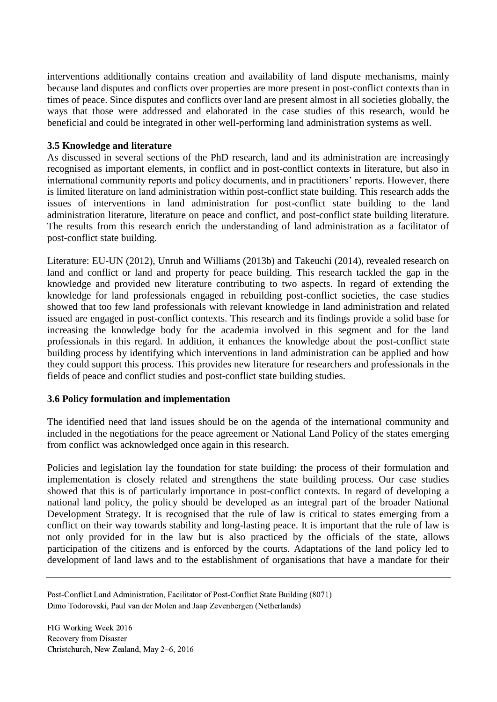interventions additionally contains creation and availability of land dispute mechanisms, mainly because land disputes and conflicts over properties are more present in post-conflict contexts than in times of peace. Since disputes and conflicts over land are present almost in all societies globally, the ways that those were addressed and elaborated in the case studies of this research, would be beneficial and could be integrated in other well-performing land administration systems as well.

#### **3.5 Knowledge and literature**

As discussed in several sections of the PhD research, land and its administration are increasingly recognised as important elements, in conflict and in post-conflict contexts in literature, but also in international community reports and policy documents, and in practitioners' reports. However, there is limited literature on land administration within post-conflict state building. This research adds the issues of interventions in land administration for post-conflict state building to the land administration literature, literature on peace and conflict, and post-conflict state building literature. The results from this research enrich the understanding of land administration as a facilitator of post-conflict state building.

Literature: EU-UN (2012), Unruh and Williams (2013b) and Takeuchi (2014), revealed research on land and conflict or land and property for peace building. This research tackled the gap in the knowledge and provided new literature contributing to two aspects. In regard of extending the knowledge for land professionals engaged in rebuilding post-conflict societies, the case studies showed that too few land professionals with relevant knowledge in land administration and related issued are engaged in post-conflict contexts. This research and its findings provide a solid base for increasing the knowledge body for the academia involved in this segment and for the land professionals in this regard. In addition, it enhances the knowledge about the post-conflict state building process by identifying which interventions in land administration can be applied and how they could support this process. This provides new literature for researchers and professionals in the fields of peace and conflict studies and post-conflict state building studies.

## **3.6 Policy formulation and implementation**

The identified need that land issues should be on the agenda of the international community and included in the negotiations for the peace agreement or National Land Policy of the states emerging from conflict was acknowledged once again in this research.

Policies and legislation lay the foundation for state building: the process of their formulation and implementation is closely related and strengthens the state building process. Our case studies showed that this is of particularly importance in post-conflict contexts. In regard of developing a national land policy, the policy should be developed as an integral part of the broader National Development Strategy. It is recognised that the rule of law is critical to states emerging from a conflict on their way towards stability and long-lasting peace. It is important that the rule of law is not only provided for in the law but is also practiced by the officials of the state, allows participation of the citizens and is enforced by the courts. Adaptations of the land policy led to development of land laws and to the establishment of organisations that have a mandate for their

Post-Conflict Land Administration, Facilitator of Post-Conflict State Building (8071) Dimo Todorovski, Paul van der Molen and Jaap Zevenbergen (Netherlands)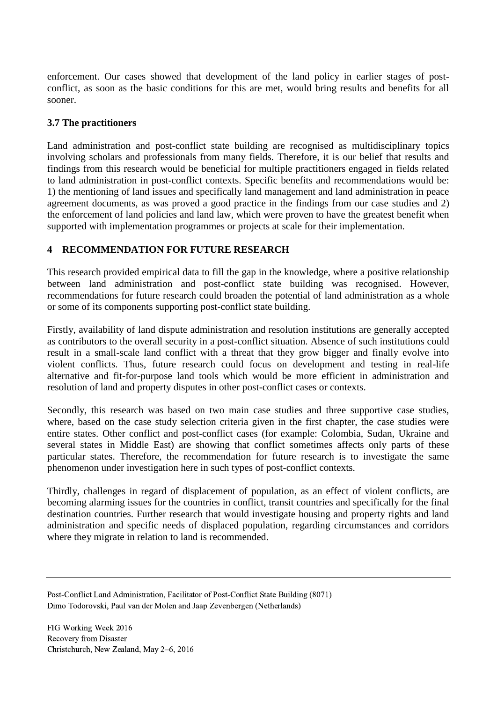enforcement. Our cases showed that development of the land policy in earlier stages of postconflict, as soon as the basic conditions for this are met, would bring results and benefits for all sooner.

#### **3.7 The practitioners**

Land administration and post-conflict state building are recognised as multidisciplinary topics involving scholars and professionals from many fields. Therefore, it is our belief that results and findings from this research would be beneficial for multiple practitioners engaged in fields related to land administration in post-conflict contexts. Specific benefits and recommendations would be: 1) the mentioning of land issues and specifically land management and land administration in peace agreement documents, as was proved a good practice in the findings from our case studies and 2) the enforcement of land policies and land law, which were proven to have the greatest benefit when supported with implementation programmes or projects at scale for their implementation.

#### **4 RECOMMENDATION FOR FUTURE RESEARCH**

This research provided empirical data to fill the gap in the knowledge, where a positive relationship between land administration and post-conflict state building was recognised. However, recommendations for future research could broaden the potential of land administration as a whole or some of its components supporting post-conflict state building.

Firstly, availability of land dispute administration and resolution institutions are generally accepted as contributors to the overall security in a post-conflict situation. Absence of such institutions could result in a small-scale land conflict with a threat that they grow bigger and finally evolve into violent conflicts. Thus, future research could focus on development and testing in real-life alternative and fit-for-purpose land tools which would be more efficient in administration and resolution of land and property disputes in other post-conflict cases or contexts.

Secondly, this research was based on two main case studies and three supportive case studies, where, based on the case study selection criteria given in the first chapter, the case studies were entire states. Other conflict and post-conflict cases (for example: Colombia, Sudan, Ukraine and several states in Middle East) are showing that conflict sometimes affects only parts of these particular states. Therefore, the recommendation for future research is to investigate the same phenomenon under investigation here in such types of post-conflict contexts.

Thirdly, challenges in regard of displacement of population, as an effect of violent conflicts, are becoming alarming issues for the countries in conflict, transit countries and specifically for the final destination countries. Further research that would investigate housing and property rights and land administration and specific needs of displaced population, regarding circumstances and corridors where they migrate in relation to land is recommended.

Post-Conflict Land Administration, Facilitator of Post-Conflict State Building (8071) Dimo Todorovski, Paul van der Molen and Jaap Zevenbergen (Netherlands)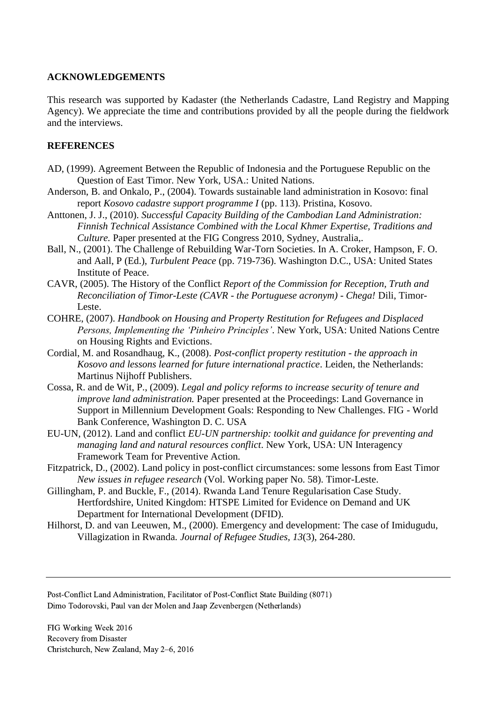#### **ACKNOWLEDGEMENTS**

This research was supported by Kadaster (the Netherlands Cadastre, Land Registry and Mapping Agency). We appreciate the time and contributions provided by all the people during the fieldwork and the interviews.

#### **REFERENCES**

- AD, (1999). Agreement Between the Republic of Indonesia and the Portuguese Republic on the Question of East Timor. New York, USA.: United Nations.
- Anderson, B. and Onkalo, P., (2004). Towards sustainable land administration in Kosovo: final report *Kosovo cadastre support programme I* (pp. 113). Pristina, Kosovo.
- Anttonen, J. J., (2010). *Successful Capacity Building of the Cambodian Land Administration: Finnish Technical Assistance Combined with the Local Khmer Expertise, Traditions and Culture.* Paper presented at the FIG Congress 2010, Sydney, Australia,.
- Ball, N., (2001). The Challenge of Rebuilding War-Torn Societies. In A. Croker, Hampson, F. O. and Aall, P (Ed.), *Turbulent Peace* (pp. 719-736). Washington D.C., USA: United States Institute of Peace.
- CAVR, (2005). The History of the Conflict *Report of the Commission for Reception, Truth and Reconciliation of Timor-Leste (CAVR - the Portuguese acronym) - Chega!* Dili, Timor-Leste.
- COHRE, (2007). *Handbook on Housing and Property Restitution for Refugees and Displaced Persons, Implementing the 'Pinheiro Principles'*. New York, USA: United Nations Centre on Housing Rights and Evictions.
- Cordial, M. and Rosandhaug, K., (2008). *Post-conflict property restitution - the approach in Kosovo and lessons learned for future international practice*. Leiden, the Netherlands: Martinus Nijhoff Publishers.
- Cossa, R. and de Wit, P., (2009). *Legal and policy reforms to increase security of tenure and improve land administration.* Paper presented at the Proceedings: Land Governance in Support in Millennium Development Goals: Responding to New Challenges. FIG - World Bank Conference, Washington D. C. USA
- EU-UN, (2012). Land and conflict *EU-UN partnership: toolkit and guidance for preventing and managing land and natural resources conflict*. New York, USA: UN Interagency Framework Team for Preventive Action.
- Fitzpatrick, D., (2002). Land policy in post-conflict circumstances: some lessons from East Timor *New issues in refugee research* (Vol. Working paper No. 58). Timor-Leste.
- Gillingham, P. and Buckle, F., (2014). Rwanda Land Tenure Regularisation Case Study. Hertfordshire, United Kingdom: HTSPE Limited for Evidence on Demand and UK Department for International Development (DFID).
- Hilhorst, D. and van Leeuwen, M., (2000). Emergency and development: The case of Imidugudu, Villagization in Rwanda. *Journal of Refugee Studies, 13*(3), 264-280.

Post-Conflict Land Administration, Facilitator of Post-Conflict State Building (8071) Dimo Todorovski, Paul van der Molen and Jaap Zevenbergen (Netherlands)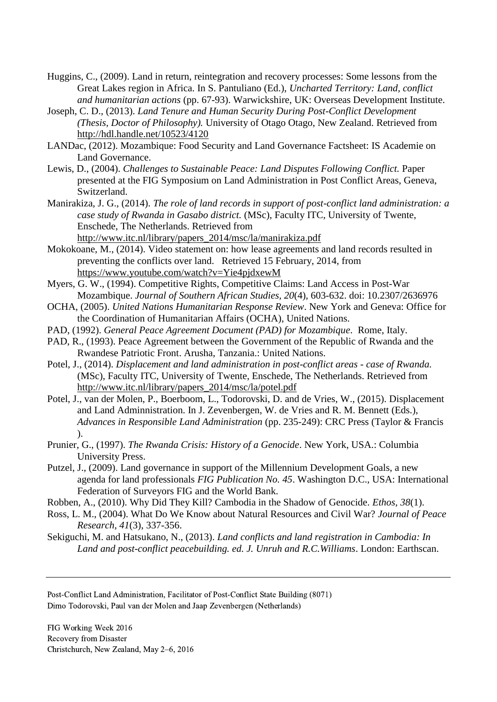- Huggins, C., (2009). Land in return, reintegration and recovery processes: Some lessons from the Great Lakes region in Africa. In S. Pantuliano (Ed.), *Uncharted Territory: Land, conflict and humanitarian actions* (pp. 67-93). Warwickshire, UK: Overseas Development Institute.
- Joseph, C. D., (2013). *Land Tenure and Human Security During Post-Conflict Development (Thesis, Doctor of Philosophy).* University of Otago Otago, New Zealand. Retrieved from <http://hdl.handle.net/10523/4120>
- LANDac, (2012). Mozambique: Food Security and Land Governance Factsheet: IS Academie on Land Governance.
- Lewis, D., (2004). *Challenges to Sustainable Peace: Land Disputes Following Conflict.* Paper presented at the FIG Symposium on Land Administration in Post Conflict Areas, Geneva, Switzerland.
- Manirakiza, J. G., (2014). *The role of land records in support of post-conflict land administration: a case study of Rwanda in Gasabo district.* (MSc), Faculty ITC, University of Twente, Enschede, The Netherlands. Retrieved from [http://www.itc.nl/library/papers\\_2014/msc/la/manirakiza.pdf](http://www.itc.nl/library/papers_2014/msc/la/manirakiza.pdf)
- Mokokoane, M., (2014). Video statement on: how lease agreements and land records resulted in preventing the conflicts over land. Retrieved 15 February, 2014, from <https://www.youtube.com/watch?v=Yie4pjdxewM>
- Myers, G. W., (1994). Competitive Rights, Competitive Claims: Land Access in Post-War Mozambique. *Journal of Southern African Studies, 20*(4), 603-632. doi: 10.2307/2636976
- OCHA, (2005). *United Nations Humanitarian Response Review*. New York and Geneva: Office for the Coordination of Humanitarian Affairs (OCHA), United Nations.
- PAD, (1992). *General Peace Agreement Document (PAD) for Mozambique*. Rome, Italy.
- PAD, R., (1993). Peace Agreement between the Government of the Republic of Rwanda and the Rwandese Patriotic Front. Arusha, Tanzania.: United Nations.
- Potel, J., (2014). *Displacement and land administration in post-conflict areas - case of Rwanda.* (MSc), Faculty ITC, University of Twente, Enschede, The Netherlands. Retrieved from [http://www.itc.nl/library/papers\\_2014/msc/la/potel.pdf](http://www.itc.nl/library/papers_2014/msc/la/potel.pdf)
- Potel, J., van der Molen, P., Boerboom, L., Todorovski, D. and de Vries, W., (2015). Displacement and Land Adminnistration. In J. Zevenbergen, W. de Vries and R. M. Bennett (Eds.), *Advances in Responsible Land Administration* (pp. 235-249): CRC Press (Taylor & Francis ).
- Prunier, G., (1997). *The Rwanda Crisis: History of a Genocide*. New York, USA.: Columbia University Press.
- Putzel, J., (2009). Land governance in support of the Millennium Development Goals, a new agenda for land professionals *FIG Publication No. 45*. Washington D.C., USA: International Federation of Surveyors FIG and the World Bank.
- Robben, A., (2010). Why Did They Kill? Cambodia in the Shadow of Genocide. *Ethos, 38*(1).
- Ross, L. M., (2004). What Do We Know about Natural Resources and Civil War? *Journal of Peace Research, 41*(3), 337-356.
- Sekiguchi, M. and Hatsukano, N., (2013). *Land conflicts and land registration in Cambodia: In Land and post-conflict peacebuilding. ed. J. Unruh and R.C.Williams*. London: Earthscan.

Post-Conflict Land Administration, Facilitator of Post-Conflict State Building (8071) Dimo Todorovski, Paul van der Molen and Jaap Zevenbergen (Netherlands)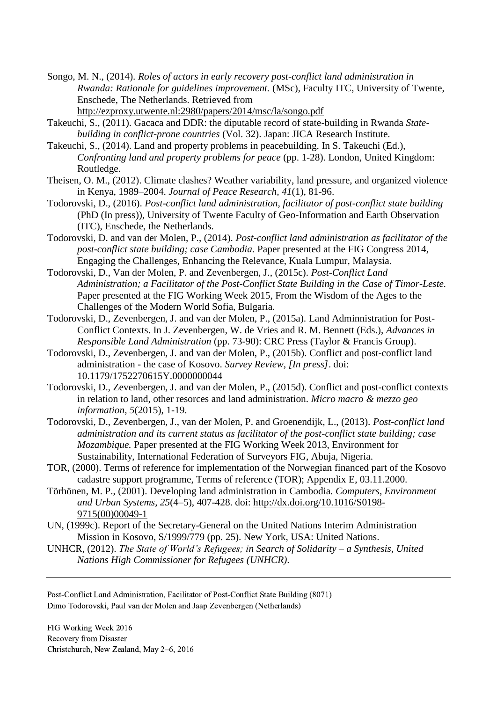Songo, M. N., (2014). *Roles of actors in early recovery post-conflict land administration in Rwanda: Rationale for guidelines improvement.* (MSc), Faculty ITC, University of Twente, Enschede, The Netherlands. Retrieved from <http://ezproxy.utwente.nl:2980/papers/2014/msc/la/songo.pdf>

- Takeuchi, S., (2011). Gacaca and DDR: the diputable record of state-building in Rwanda *Statebuilding in conflict-prone countries* (Vol. 32). Japan: JICA Research Institute.
- Takeuchi, S., (2014). Land and property problems in peacebuilding. In S. Takeuchi (Ed.), *Confronting land and property problems for peace* (pp. 1-28). London, United Kingdom: Routledge.
- Theisen, O. M., (2012). Climate clashes? Weather variability, land pressure, and organized violence in Kenya, 1989–2004. *Journal of Peace Research, 41*(1), 81-96.
- Todorovski, D., (2016). *Post-conflict land administration, facilitator of post-conflict state building*  (PhD (In press)), University of Twente Faculty of Geo-Information and Earth Observation (ITC), Enschede, the Netherlands.
- Todorovski, D. and van der Molen, P., (2014). *Post-conflict land administration as facilitator of the post-conflict state building; case Cambodia.* Paper presented at the FIG Congress 2014, Engaging the Challenges, Enhancing the Relevance, Kuala Lumpur, Malaysia.
- Todorovski, D., Van der Molen, P. and Zevenbergen, J., (2015c). *Post-Conflict Land Administration; a Facilitator of the Post-Conflict State Building in the Case of Timor-Leste.* Paper presented at the FIG Working Week 2015, From the Wisdom of the Ages to the Challenges of the Modern World Sofia, Bulgaria.
- Todorovski, D., Zevenbergen, J. and van der Molen, P., (2015a). Land Adminnistration for Post-Conflict Contexts. In J. Zevenbergen, W. de Vries and R. M. Bennett (Eds.), *Advances in Responsible Land Administration* (pp. 73-90): CRC Press (Taylor & Francis Group).
- Todorovski, D., Zevenbergen, J. and van der Molen, P., (2015b). Conflict and post-conflict land administration - the case of Kosovo. *Survey Review, [In press]*. doi: 10.1179/1752270615Y.0000000044
- Todorovski, D., Zevenbergen, J. and van der Molen, P., (2015d). Conflict and post-conflict contexts in relation to land, other resorces and land administration. *Micro macro & mezzo geo information, 5*(2015), 1-19.
- Todorovski, D., Zevenbergen, J., van der Molen, P. and Groenendijk, L., (2013). *Post-conflict land administration and its current status as facilitator of the post-conflict state building; case Mozambique.* Paper presented at the FIG Working Week 2013, Environment for Sustainability, International Federation of Surveyors FIG, Abuja, Nigeria.
- TOR, (2000). Terms of reference for implementation of the Norwegian financed part of the Kosovo cadastre support programme, Terms of reference (TOR); Appendix E, 03.11.2000.
- Törhönen, M. P., (2001). Developing land administration in Cambodia. *Computers, Environment and Urban Systems, 25*(4–5), 407-428. doi: [http://dx.doi.org/10.1016/S0198-](http://dx.doi.org/10.1016/S0198-9715(00)00049-1) [9715\(00\)00049-1](http://dx.doi.org/10.1016/S0198-9715(00)00049-1)
- UN, (1999c). Report of the Secretary-General on the United Nations Interim Administration Mission in Kosovo, S/1999/779 (pp. 25). New York, USA: United Nations.
- UNHCR, (2012). *The State of World's Refugees; in Search of Solidarity – a Synthesis, United Nations High Commissioner for Refugees (UNHCR)*.

Post-Conflict Land Administration, Facilitator of Post-Conflict State Building (8071) Dimo Todorovski, Paul van der Molen and Jaap Zevenbergen (Netherlands)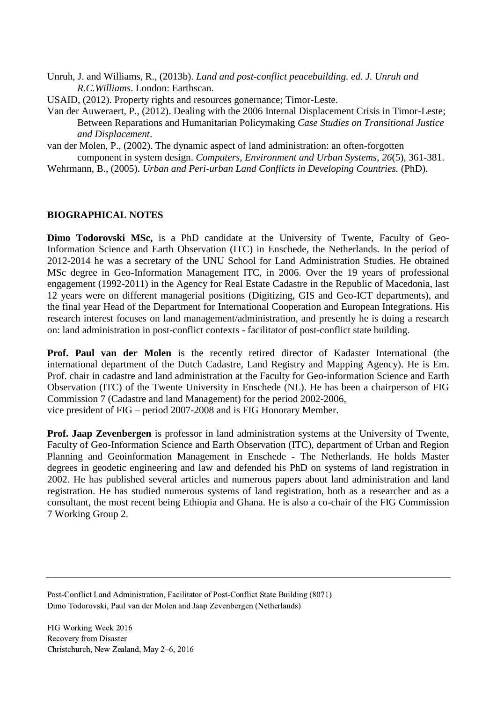- Unruh, J. and Williams, R., (2013b). *Land and post-conflict peacebuilding. ed. J. Unruh and R.C.Williams*. London: Earthscan.
- USAID, (2012). Property rights and resources gonernance; Timor-Leste.
- Van der Auweraert, P., (2012). Dealing with the 2006 Internal Displacement Crisis in Timor-Leste; Between Reparations and Humanitarian Policymaking *Case Studies on Transitional Justice and Displacement*.

van der Molen, P., (2002). The dynamic aspect of land administration: an often-forgotten component in system design. *Computers, Environment and Urban Systems, 26*(5), 361-381.

Wehrmann, B., (2005). *Urban and Peri-urban Land Conflicts in Developing Countries.* (PhD).

#### **BIOGRAPHICAL NOTES**

**Dimo Todorovski MSc,** is a PhD candidate at the University of Twente, Faculty of Geo-Information Science and Earth Observation (ITC) in Enschede, the Netherlands. In the period of 2012-2014 he was a secretary of the UNU School for Land Administration Studies. He obtained MSc degree in Geo-Information Management ITC, in 2006. Over the 19 years of professional engagement (1992-2011) in the Agency for Real Estate Cadastre in the Republic of Macedonia, last 12 years were on different managerial positions (Digitizing, GIS and Geo-ICT departments), and the final year Head of the Department for International Cooperation and European Integrations. His research interest focuses on land management/administration, and presently he is doing a research on: land administration in post-conflict contexts - facilitator of post-conflict state building.

**Prof. Paul van der Molen** is the recently retired director of Kadaster International (the international department of the Dutch Cadastre, Land Registry and Mapping Agency). He is Em. Prof. chair in cadastre and land administration at the Faculty for Geo-information Science and Earth Observation (ITC) of the Twente University in Enschede (NL). He has been a chairperson of FIG Commission 7 (Cadastre and land Management) for the period 2002-2006, vice president of FIG – period 2007-2008 and is FIG Honorary Member.

**Prof. Jaap Zevenbergen** is professor in land administration systems at the University of Twente, Faculty of Geo-Information Science and Earth Observation (ITC), department of Urban and Region Planning and Geoinformation Management in Enschede - The Netherlands. He holds Master degrees in geodetic engineering and law and defended his PhD on systems of land registration in 2002. He has published several articles and numerous papers about land administration and land registration. He has studied numerous systems of land registration, both as a researcher and as a consultant, the most recent being Ethiopia and Ghana. He is also a co-chair of the FIG Commission 7 Working Group 2.

Post-Conflict Land Administration, Facilitator of Post-Conflict State Building (8071) Dimo Todorovski, Paul van der Molen and Jaap Zevenbergen (Netherlands)